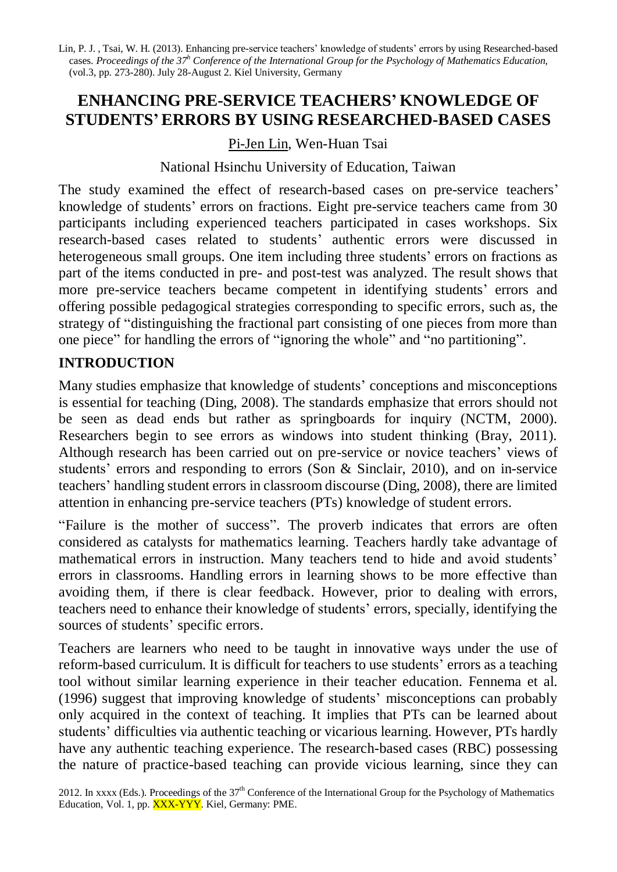Lin, P. J. , Tsai, W. H. (2013). Enhancing pre-service teachers' knowledge of students' errors by using Researched-based cases. *Proceedings of the 37 <sup>h</sup> Conference of the International Group for the Psychology of Mathematics Education,* (vol.3, pp. 273-280). July 28-August 2. Kiel University, Germany

# **ENHANCING PRE-SERVICE TEACHERS' KNOWLEDGE OF STUDENTS'ERRORS BY USING RESEARCHED-BASED CASES**

### Pi-Jen Lin, Wen-Huan Tsai

#### National Hsinchu University of Education, Taiwan

The study examined the effect of research-based cases on pre-service teachers' knowledge of students' errors on fractions. Eight pre-service teachers came from 30 participants including experienced teachers participated in cases workshops. Six research-based cases related to students' authentic errors were discussed in heterogeneous small groups. One item including three students' errors on fractions as part of the items conducted in pre- and post-test was analyzed. The result shows that more pre-service teachers became competent in identifying students' errors and offering possible pedagogical strategies corresponding to specific errors, such as, the strategy of "distinguishing the fractional part consisting of one pieces from more than one piece" for handling the errors of "ignoring the whole" and "no partitioning".

## **INTRODUCTION**

Many studies emphasize that knowledge of students' conceptions and misconceptions is essential for teaching (Ding, 2008). The standards emphasize that errors should not be seen as dead ends but rather as springboards for inquiry (NCTM, 2000). Researchers begin to see errors as windows into student thinking (Bray, 2011). Although research has been carried out on pre-service or novice teachers' views of students' errors and responding to errors (Son & Sinclair, 2010), and on in-service teachers' handling student errors in classroom discourse (Ding, 2008), there are limited attention in enhancing pre-service teachers (PTs) knowledge of student errors.

"Failure is the mother of success". The proverb indicates that errors are often considered as catalysts for mathematics learning. Teachers hardly take advantage of mathematical errors in instruction. Many teachers tend to hide and avoid students' errors in classrooms. Handling errors in learning shows to be more effective than avoiding them, if there is clear feedback. However, prior to dealing with errors, teachers need to enhance their knowledge of students' errors, specially, identifying the sources of students' specific errors.

Teachers are learners who need to be taught in innovative ways under the use of reform-based curriculum. It is difficult for teachers to use students' errors as a teaching tool without similar learning experience in their teacher education. Fennema et al. (1996) suggest that improving knowledge of students' misconceptions can probably only acquired in the context of teaching. It implies that PTs can be learned about students' difficulties via authentic teaching or vicarious learning. However, PTs hardly have any authentic teaching experience. The research-based cases (RBC) possessing the nature of practice-based teaching can provide vicious learning, since they can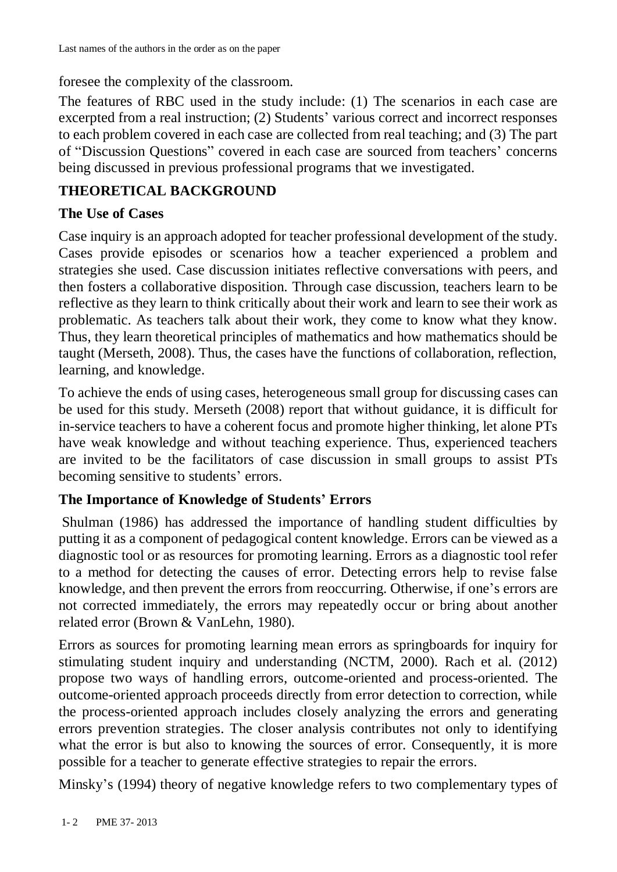foresee the complexity of the classroom.

The features of RBC used in the study include: (1) The scenarios in each case are excerpted from a real instruction; (2) Students' various correct and incorrect responses to each problem covered in each case are collected from real teaching; and (3) The part of "Discussion Questions" covered in each case are sourced from teachers' concerns being discussed in previous professional programs that we investigated.

## **THEORETICAL BACKGROUND**

### **The Use of Cases**

Case inquiry is an approach adopted for teacher professional development of the study. Cases provide episodes or scenarios how a teacher experienced a problem and strategies she used. Case discussion initiates reflective conversations with peers, and then fosters a collaborative disposition. Through case discussion, teachers learn to be reflective as they learn to think critically about their work and learn to see their work as problematic. As teachers talk about their work, they come to know what they know. Thus, they learn theoretical principles of mathematics and how mathematics should be taught (Merseth, 2008). Thus, the cases have the functions of collaboration, reflection, learning, and knowledge.

To achieve the ends of using cases, heterogeneous small group for discussing cases can be used for this study. Merseth (2008) report that without guidance, it is difficult for in-service teachers to have a coherent focus and promote higher thinking, let alone PTs have weak knowledge and without teaching experience. Thus, experienced teachers are invited to be the facilitators of case discussion in small groups to assist PTs becoming sensitive to students' errors.

## **The Importance of Knowledge of Students' Errors**

Shulman (1986) has addressed the importance of handling student difficulties by putting it as a component of pedagogical content knowledge. Errors can be viewed as a diagnostic tool or as resources for promoting learning. Errors as a diagnostic tool refer to a method for detecting the causes of error. Detecting errors help to revise false knowledge, and then prevent the errors from reoccurring. Otherwise, if one's errors are not corrected immediately, the errors may repeatedly occur or bring about another related error (Brown & VanLehn, 1980).

Errors as sources for promoting learning mean errors as springboards for inquiry for stimulating student inquiry and understanding (NCTM, 2000). Rach et al. (2012) propose two ways of handling errors, outcome-oriented and process-oriented. The outcome-oriented approach proceeds directly from error detection to correction, while the process-oriented approach includes closely analyzing the errors and generating errors prevention strategies. The closer analysis contributes not only to identifying what the error is but also to knowing the sources of error. Consequently, it is more possible for a teacher to generate effective strategies to repair the errors.

Minsky's (1994) theory of negative knowledge refers to two complementary types of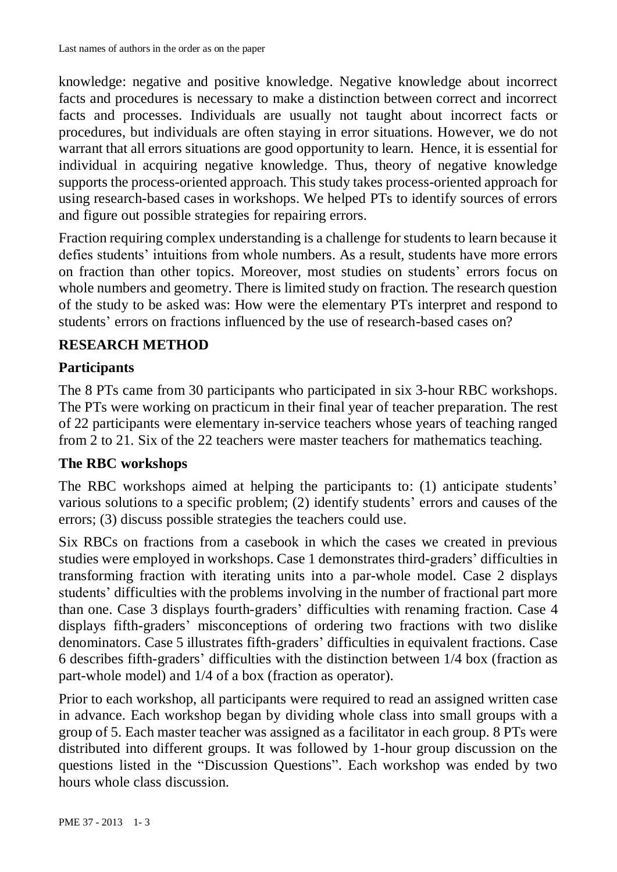knowledge: negative and positive knowledge. Negative knowledge about incorrect facts and procedures is necessary to make a distinction between correct and incorrect facts and processes. Individuals are usually not taught about incorrect facts or procedures, but individuals are often staying in error situations. However, we do not warrant that all errors situations are good opportunity to learn. Hence, it is essential for individual in acquiring negative knowledge. Thus, theory of negative knowledge supports the process-oriented approach. This study takes process-oriented approach for using research-based cases in workshops. We helped PTs to identify sources of errors and figure out possible strategies for repairing errors.

Fraction requiring complex understanding is a challenge for students to learn because it defies students' intuitions from whole numbers. As a result, students have more errors on fraction than other topics. Moreover, most studies on students' errors focus on whole numbers and geometry. There is limited study on fraction. The research question of the study to be asked was: How were the elementary PTs interpret and respond to students' errors on fractions influenced by the use of research-based cases on?

## **RESEARCH METHOD**

## **Participants**

The 8 PTs came from 30 participants who participated in six 3-hour RBC workshops. The PTs were working on practicum in their final year of teacher preparation. The rest of 22 participants were elementary in-service teachers whose years of teaching ranged from 2 to 21. Six of the 22 teachers were master teachers for mathematics teaching.

## **The RBC workshops**

The RBC workshops aimed at helping the participants to: (1) anticipate students' various solutions to a specific problem; (2) identify students' errors and causes of the errors; (3) discuss possible strategies the teachers could use.

Six RBCs on fractions from a casebook in which the cases we created in previous studies were employed in workshops. Case 1 demonstrates third-graders' difficulties in transforming fraction with iterating units into a par-whole model. Case 2 displays students' difficulties with the problems involving in the number of fractional part more than one. Case 3 displays fourth-graders' difficulties with renaming fraction. Case 4 displays fifth-graders' misconceptions of ordering two fractions with two dislike denominators. Case 5 illustrates fifth-graders' difficulties in equivalent fractions. Case 6 describes fifth-graders' difficulties with the distinction between 1/4 box (fraction as part-whole model) and 1/4 of a box (fraction as operator).

Prior to each workshop, all participants were required to read an assigned written case in advance. Each workshop began by dividing whole class into small groups with a group of 5. Each master teacher was assigned as a facilitator in each group. 8 PTs were distributed into different groups. It was followed by 1-hour group discussion on the questions listed in the "Discussion Questions". Each workshop was ended by two hours whole class discussion.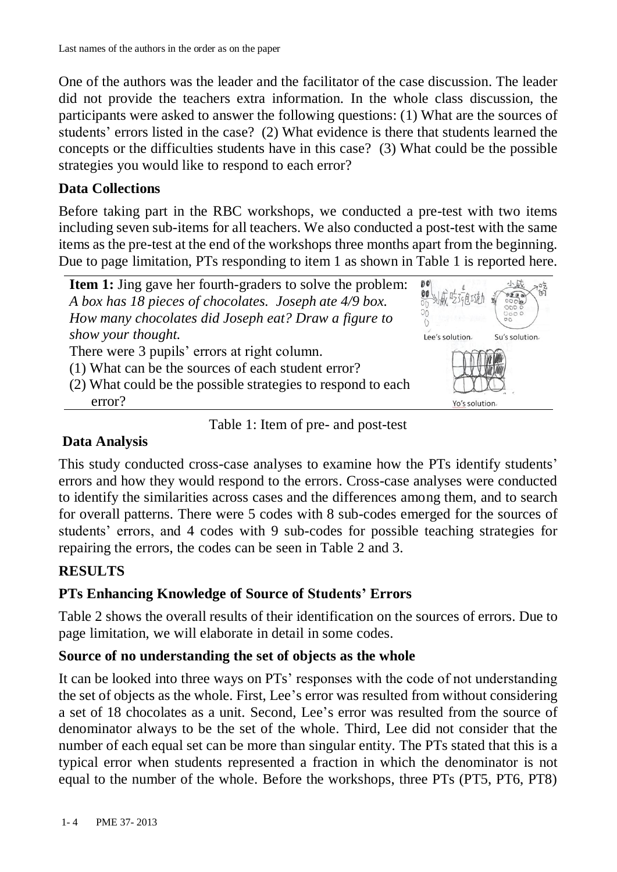One of the authors was the leader and the facilitator of the case discussion. The leader did not provide the teachers extra information. In the whole class discussion, the participants were asked to answer the following questions: (1) What are the sources of students' errors listed in the case? (2) What evidence is there that students learned the concepts or the difficulties students have in this case? (3) What could be the possible strategies you would like to respond to each error?

### **Data Collections**

Before taking part in the RBC workshops, we conducted a pre-test with two items including seven sub-items for all teachers. We also conducted a post-test with the same items as the pre-test at the end of the workshops three months apart from the beginning. Due to page limitation, PTs responding to item 1 as shown in Table 1 is reported here.



Table 1: Item of pre- and post-test

## **Data Analysis**

This study conducted cross-case analyses to examine how the PTs identify students' errors and how they would respond to the errors. Cross-case analyses were conducted to identify the similarities across cases and the differences among them, and to search for overall patterns. There were 5 codes with 8 sub-codes emerged for the sources of students' errors, and 4 codes with 9 sub-codes for possible teaching strategies for repairing the errors, the codes can be seen in Table 2 and 3.

## **RESULTS**

## **PTs Enhancing Knowledge of Source of Students' Errors**

Table 2 shows the overall results of their identification on the sources of errors. Due to page limitation, we will elaborate in detail in some codes.

### **Source of no understanding the set of objects as the whole**

It can be looked into three ways on PTs' responses with the code of not understanding the set of objects as the whole. First, Lee's error was resulted from without considering a set of 18 chocolates as a unit. Second, Lee's error was resulted from the source of denominator always to be the set of the whole. Third, Lee did not consider that the number of each equal set can be more than singular entity. The PTs stated that this is a typical error when students represented a fraction in which the denominator is not equal to the number of the whole. Before the workshops, three PTs (PT5, PT6, PT8)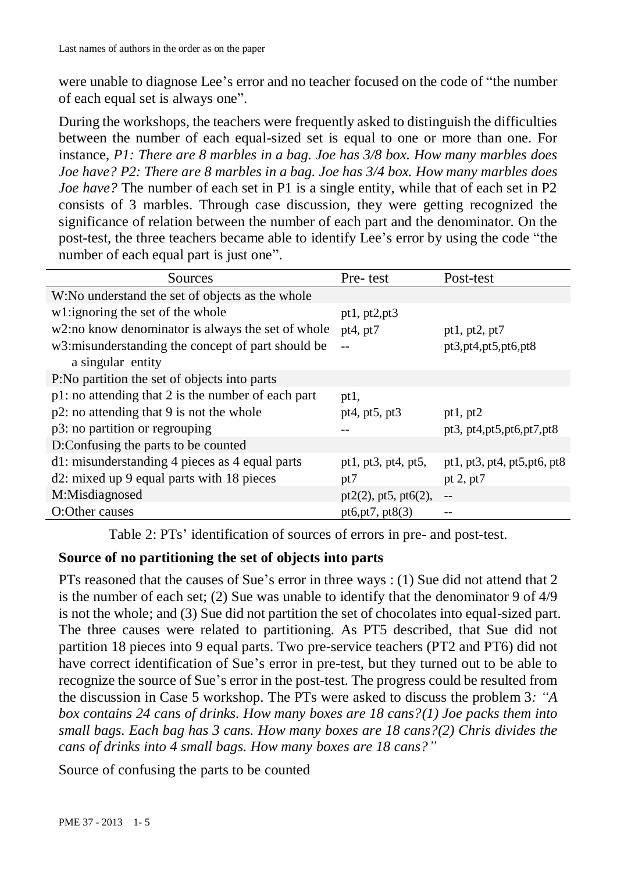were unable to diagnose Lee's error and no teacher focused on the code of "the number of each equal set is always one".

During the workshops, the teachers were frequently asked to distinguish the difficulties between the number of each equal-sized set is equal to one or more than one. For instance, *P1: There are 8 marbles in a bag. Joe has 3/8 box. How many marbles does Joe have? P2: There are 8 marbles in a bag. Joe has 3/4 box. How many marbles does Joe have?* The number of each set in P1 is a single entity, while that of each set in P2 consists of 3 marbles. Through case discussion, they were getting recognized the significance of relation between the number of each part and the denominator. On the post-test, the three teachers became able to identify Lee's error by using the code "the number of each equal part is just one".

| W:No understand the set of objects as the whole<br>w1:ignoring the set of the whole<br>pt1, $pt2, pt3$<br>w2:no know denominator is always the set of whole<br>pt4, pt $7$<br>pt1, pt2, pt7<br>w3: misunderstanding the concept of part should be<br>pt3,pt4,pt5,pt6,pt8<br>a singular entity<br>P:No partition the set of objects into parts<br>p1: no attending that 2 is the number of each part<br>pt1,<br>p2: no attending that 9 is not the whole<br>pt4, pt5, pt3<br>pt1, $pt2$<br>p3: no partition or regrouping<br>pt3, pt4, pt5, pt6, pt7, pt8<br>D:Confusing the parts to be counted<br>d1: misunderstanding 4 pieces as 4 equal parts<br>pt1, pt3, pt4, pt5,<br>pt1, pt3, pt4, pt5, pt6, pt8<br>d2: mixed up 9 equal parts with 18 pieces<br>pt $2, pt7$<br>pt7<br>M:Misdiagnosed<br>$pt2(2)$ , pt5, pt6(2), | Sources        | Pre-test          | Post-test |
|--------------------------------------------------------------------------------------------------------------------------------------------------------------------------------------------------------------------------------------------------------------------------------------------------------------------------------------------------------------------------------------------------------------------------------------------------------------------------------------------------------------------------------------------------------------------------------------------------------------------------------------------------------------------------------------------------------------------------------------------------------------------------------------------------------------------------|----------------|-------------------|-----------|
|                                                                                                                                                                                                                                                                                                                                                                                                                                                                                                                                                                                                                                                                                                                                                                                                                          |                |                   |           |
|                                                                                                                                                                                                                                                                                                                                                                                                                                                                                                                                                                                                                                                                                                                                                                                                                          |                |                   |           |
|                                                                                                                                                                                                                                                                                                                                                                                                                                                                                                                                                                                                                                                                                                                                                                                                                          |                |                   |           |
|                                                                                                                                                                                                                                                                                                                                                                                                                                                                                                                                                                                                                                                                                                                                                                                                                          |                |                   |           |
|                                                                                                                                                                                                                                                                                                                                                                                                                                                                                                                                                                                                                                                                                                                                                                                                                          |                |                   |           |
|                                                                                                                                                                                                                                                                                                                                                                                                                                                                                                                                                                                                                                                                                                                                                                                                                          |                |                   |           |
|                                                                                                                                                                                                                                                                                                                                                                                                                                                                                                                                                                                                                                                                                                                                                                                                                          |                |                   |           |
|                                                                                                                                                                                                                                                                                                                                                                                                                                                                                                                                                                                                                                                                                                                                                                                                                          |                |                   |           |
|                                                                                                                                                                                                                                                                                                                                                                                                                                                                                                                                                                                                                                                                                                                                                                                                                          |                |                   |           |
|                                                                                                                                                                                                                                                                                                                                                                                                                                                                                                                                                                                                                                                                                                                                                                                                                          |                |                   |           |
|                                                                                                                                                                                                                                                                                                                                                                                                                                                                                                                                                                                                                                                                                                                                                                                                                          |                |                   |           |
|                                                                                                                                                                                                                                                                                                                                                                                                                                                                                                                                                                                                                                                                                                                                                                                                                          |                |                   |           |
|                                                                                                                                                                                                                                                                                                                                                                                                                                                                                                                                                                                                                                                                                                                                                                                                                          | O:Other causes | pt6,pt7, $pt8(3)$ |           |

Table 2: PTs' identification of sources of errors in pre- and post-test.

## **Source of no partitioning the set of objects into parts**

PTs reasoned that the causes of Sue's error in three ways : (1) Sue did not attend that 2 is the number of each set; (2) Sue was unable to identify that the denominator 9 of 4/9 is not the whole; and (3) Sue did not partition the set of chocolates into equal-sized part. The three causes were related to partitioning. As PT5 described, that Sue did not partition 18 pieces into 9 equal parts. Two pre-service teachers (PT2 and PT6) did not have correct identification of Sue's error in pre-test, but they turned out to be able to recognize the source of Sue's error in the post-test. The progress could be resulted from the discussion in Case 5 workshop. The PTs were asked to discuss the problem 3*: "A box contains 24 cans of drinks. How many boxes are 18 cans?(1) Joe packs them into small bags. Each bag has 3 cans. How many boxes are 18 cans?(2) Chris divides the cans of drinks into 4 small bags. How many boxes are 18 cans?"*

Source of confusing the parts to be counted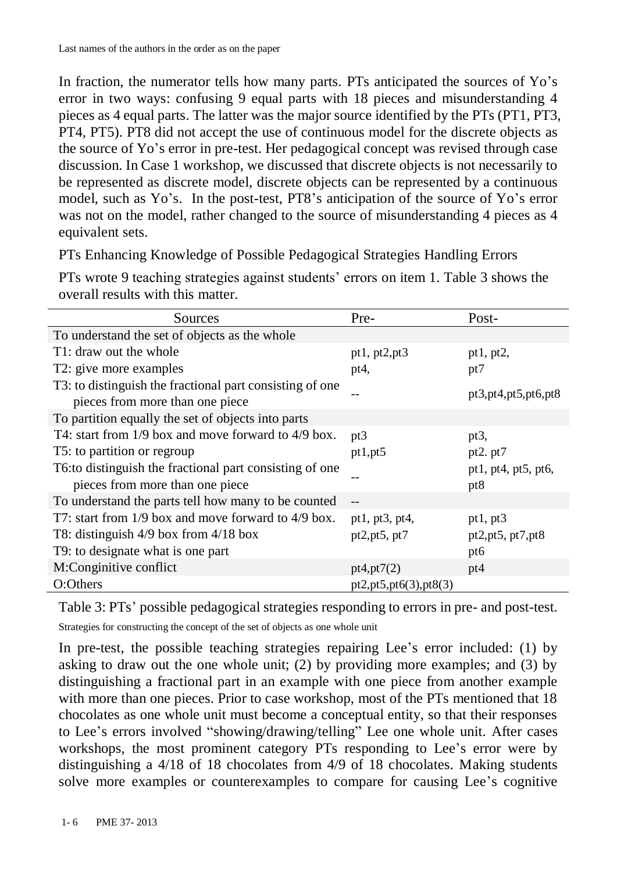In fraction, the numerator tells how many parts. PTs anticipated the sources of Yo's error in two ways: confusing 9 equal parts with 18 pieces and misunderstanding 4 pieces as 4 equal parts. The latter was the major source identified by the PTs (PT1, PT3, PT4, PT5). PT8 did not accept the use of continuous model for the discrete objects as the source of Yo's error in pre-test. Her pedagogical concept was revised through case discussion. In Case 1 workshop, we discussed that discrete objects is not necessarily to be represented as discrete model, discrete objects can be represented by a continuous model, such as Yo's. In the post-test, PT8's anticipation of the source of Yo's error was not on the model, rather changed to the source of misunderstanding 4 pieces as 4 equivalent sets.

PTs Enhancing Knowledge of Possible Pedagogical Strategies Handling Errors

| Sources                                                                                     | Pre-                     | Post-                      |
|---------------------------------------------------------------------------------------------|--------------------------|----------------------------|
| To understand the set of objects as the whole                                               |                          |                            |
| T1: draw out the whole                                                                      | pt1, $pt2, pt3$          | pt1, pt2,                  |
| T2: give more examples                                                                      | pt4,                     | pt7                        |
| T3: to distinguish the fractional part consisting of one<br>pieces from more than one piece |                          | pt3,pt4,pt5,pt6,pt8        |
| To partition equally the set of objects into parts                                          |                          |                            |
| T4: start from $1/9$ box and move forward to $4/9$ box.                                     | pt3                      | pt3,                       |
| T5: to partition or regroup                                                                 | pt1,pt5                  | pt2. $pt7$                 |
| T6: to distinguish the fractional part consisting of one<br>pieces from more than one piece |                          | pt1, pt4, pt5, pt6,<br>pt8 |
| To understand the parts tell how many to be counted                                         |                          |                            |
| T7: start from $1/9$ box and move forward to $4/9$ box.                                     | pt1, pt3, pt4,           | pt1, $pt3$                 |
| T8: distinguish $4/9$ box from $4/18$ box                                                   | pt2, pt5, pt7            | pt2,pt5, pt7,pt8           |
| T9: to designate what is one part                                                           |                          | pt6                        |
| M:Conginitive conflict                                                                      | pt4, pt7(2)              | pt4                        |
| O:Others                                                                                    | pt2, pt5, pt6(3), pt8(3) |                            |

PTs wrote 9 teaching strategies against students' errors on item 1. Table 3 shows the overall results with this matter.

Table 3: PTs' possible pedagogical strategies responding to errors in pre- and post-test.

Strategies for constructing the concept of the set of objects as one whole unit

In pre-test, the possible teaching strategies repairing Lee's error included: (1) by asking to draw out the one whole unit; (2) by providing more examples; and (3) by distinguishing a fractional part in an example with one piece from another example with more than one pieces. Prior to case workshop, most of the PTs mentioned that 18 chocolates as one whole unit must become a conceptual entity, so that their responses to Lee's errors involved "showing/drawing/telling" Lee one whole unit. After cases workshops, the most prominent category PTs responding to Lee's error were by distinguishing a 4/18 of 18 chocolates from 4/9 of 18 chocolates. Making students solve more examples or counterexamples to compare for causing Lee's cognitive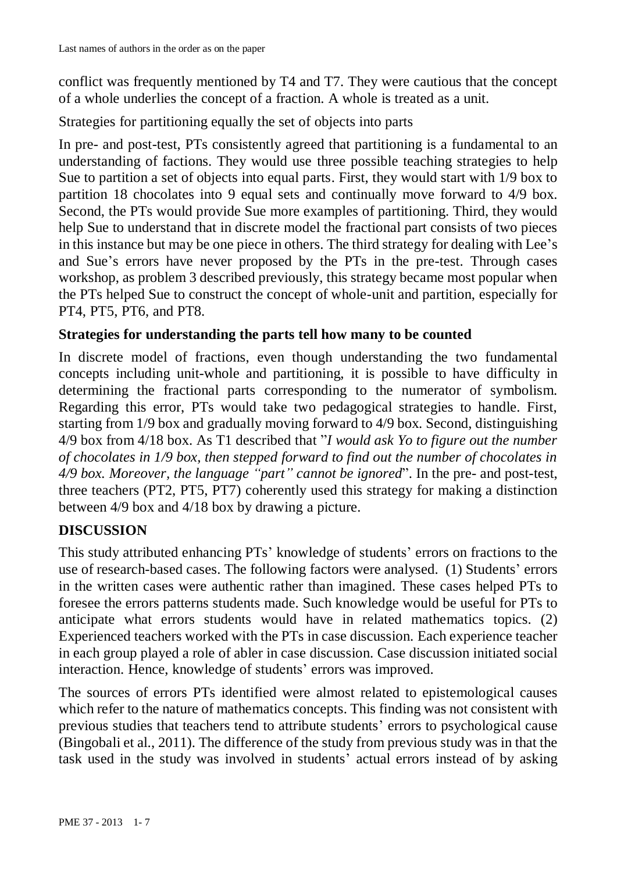conflict was frequently mentioned by T4 and T7. They were cautious that the concept of a whole underlies the concept of a fraction. A whole is treated as a unit.

Strategies for partitioning equally the set of objects into parts

In pre- and post-test, PTs consistently agreed that partitioning is a fundamental to an understanding of factions. They would use three possible teaching strategies to help Sue to partition a set of objects into equal parts. First, they would start with 1/9 box to partition 18 chocolates into 9 equal sets and continually move forward to 4/9 box. Second, the PTs would provide Sue more examples of partitioning. Third, they would help Sue to understand that in discrete model the fractional part consists of two pieces in this instance but may be one piece in others. The third strategy for dealing with Lee's and Sue's errors have never proposed by the PTs in the pre-test. Through cases workshop, as problem 3 described previously, this strategy became most popular when the PTs helped Sue to construct the concept of whole-unit and partition, especially for PT4, PT5, PT6, and PT8.

#### **Strategies for understanding the parts tell how many to be counted**

In discrete model of fractions, even though understanding the two fundamental concepts including unit-whole and partitioning, it is possible to have difficulty in determining the fractional parts corresponding to the numerator of symbolism. Regarding this error, PTs would take two pedagogical strategies to handle. First, starting from 1/9 box and gradually moving forward to 4/9 box. Second, distinguishing 4/9 box from 4/18 box. As T1 described that "*I would ask Yo to figure out the number of chocolates in 1/9 box, then stepped forward to find out the number of chocolates in 4/9 box. Moreover, the language "part" cannot be ignored*". In the pre- and post-test, three teachers (PT2, PT5, PT7) coherently used this strategy for making a distinction between 4/9 box and 4/18 box by drawing a picture.

### **DISCUSSION**

This study attributed enhancing PTs' knowledge of students' errors on fractions to the use of research-based cases. The following factors were analysed. (1) Students' errors in the written cases were authentic rather than imagined. These cases helped PTs to foresee the errors patterns students made. Such knowledge would be useful for PTs to anticipate what errors students would have in related mathematics topics. (2) Experienced teachers worked with the PTs in case discussion. Each experience teacher in each group played a role of abler in case discussion. Case discussion initiated social interaction. Hence, knowledge of students' errors was improved.

The sources of errors PTs identified were almost related to epistemological causes which refer to the nature of mathematics concepts. This finding was not consistent with previous studies that teachers tend to attribute students' errors to psychological cause (Bingobali et al., 2011). The difference of the study from previous study was in that the task used in the study was involved in students' actual errors instead of by asking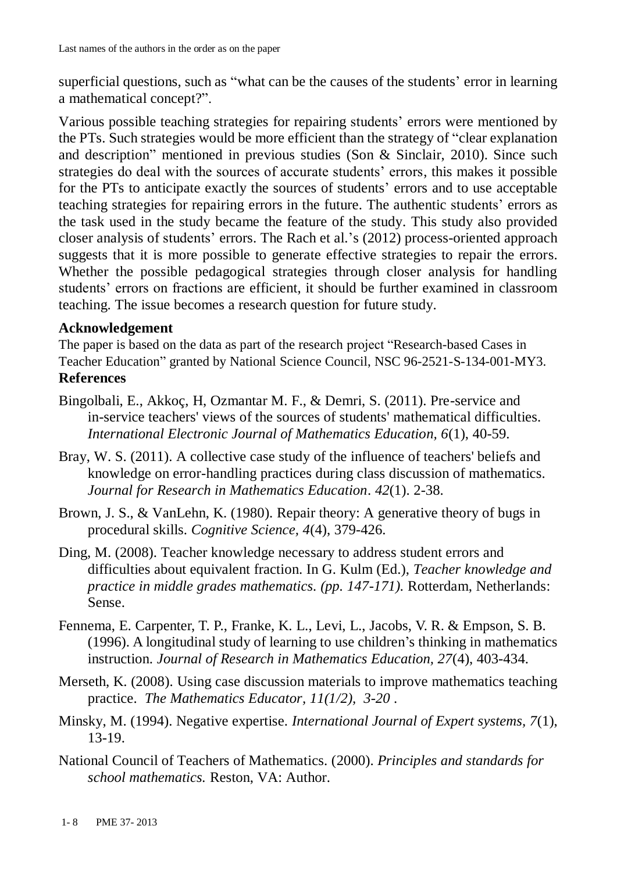superficial questions, such as "what can be the causes of the students' error in learning a mathematical concept?".

Various possible teaching strategies for repairing students' errors were mentioned by the PTs. Such strategies would be more efficient than the strategy of "clear explanation and description" mentioned in previous studies (Son & Sinclair, 2010). Since such strategies do deal with the sources of accurate students' errors, this makes it possible for the PTs to anticipate exactly the sources of students' errors and to use acceptable teaching strategies for repairing errors in the future. The authentic students' errors as the task used in the study became the feature of the study. This study also provided closer analysis of students' errors. The Rach et al.'s (2012) process-oriented approach suggests that it is more possible to generate effective strategies to repair the errors. Whether the possible pedagogical strategies through closer analysis for handling students' errors on fractions are efficient, it should be further examined in classroom teaching. The issue becomes a research question for future study.

#### **Acknowledgement**

The paper is based on the data as part of the research project "Research-based Cases in Teacher Education" granted by National Science Council, NSC 96-2521-S-134-001-MY3. **References**

- Bingolbali, E., Akkoç, H, Ozmantar M. F., & Demri, S. (2011). Pre-service and in-service teachers' views of the sources of students' mathematical difficulties. *International Electronic Journal of Mathematics Education, 6*(1), 40-59.
- Bray, W. S. (2011). A collective case study of the influence of teachers' beliefs and knowledge on error-handling practices during class discussion of mathematics. *Journal for Research in Mathematics Education*. *42*(1). 2-38.
- Brown, J. S., & VanLehn, K. (1980). Repair theory: A generative theory of bugs in procedural skills. *Cognitive Science, 4*(4), 379-426.
- Ding, M. (2008). Teacher knowledge necessary to address student errors and difficulties about equivalent fraction. In G. Kulm (Ed.), *Teacher knowledge and practice in middle grades mathematics. (pp. 147-171).* Rotterdam, Netherlands: Sense.
- Fennema, E. Carpenter, T. P., Franke, K. L., Levi, L., Jacobs, V. R. & Empson, S. B. (1996). A longitudinal study of learning to use children's thinking in mathematics instruction. *Journal of Research in Mathematics Education, 27*(4), 403-434.
- Merseth, K. (2008). Using case discussion materials to improve mathematics teaching practice. *The Mathematics Educator, 11(1/2), 3-20* .
- Minsky, M. (1994). Negative expertise. *International Journal of Expert systems, 7*(1), 13-19.
- National Council of Teachers of Mathematics. (2000). *Principles and standards for school mathematics.* Reston, VA: Author.